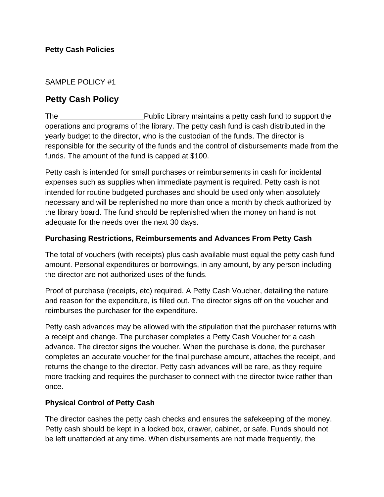SAMPLE POLICY #1

## **Petty Cash Policy**

The \_\_\_\_\_\_\_\_\_\_\_\_\_\_\_\_\_\_\_\_Public Library maintains a petty cash fund to support the operations and programs of the library. The petty cash fund is cash distributed in the yearly budget to the director, who is the custodian of the funds. The director is responsible for the security of the funds and the control of disbursements made from the funds. The amount of the fund is capped at \$100.

Petty cash is intended for small purchases or reimbursements in cash for incidental expenses such as supplies when immediate payment is required. Petty cash is not intended for routine budgeted purchases and should be used only when absolutely necessary and will be replenished no more than once a month by check authorized by the library board. The fund should be replenished when the money on hand is not adequate for the needs over the next 30 days.

## **Purchasing Restrictions, Reimbursements and Advances From Petty Cash**

The total of vouchers (with receipts) plus cash available must equal the petty cash fund amount. Personal expenditures or borrowings, in any amount, by any person including the director are not authorized uses of the funds.

Proof of purchase (receipts, etc) required. A Petty Cash Voucher, detailing the nature and reason for the expenditure, is filled out. The director signs off on the voucher and reimburses the purchaser for the expenditure.

Petty cash advances may be allowed with the stipulation that the purchaser returns with a receipt and change. The purchaser completes a Petty Cash Voucher for a cash advance. The director signs the voucher. When the purchase is done, the purchaser completes an accurate voucher for the final purchase amount, attaches the receipt, and returns the change to the director. Petty cash advances will be rare, as they require more tracking and requires the purchaser to connect with the director twice rather than once.

## **Physical Control of Petty Cash**

The director cashes the petty cash checks and ensures the safekeeping of the money. Petty cash should be kept in a locked box, drawer, cabinet, or safe. Funds should not be left unattended at any time. When disbursements are not made frequently, the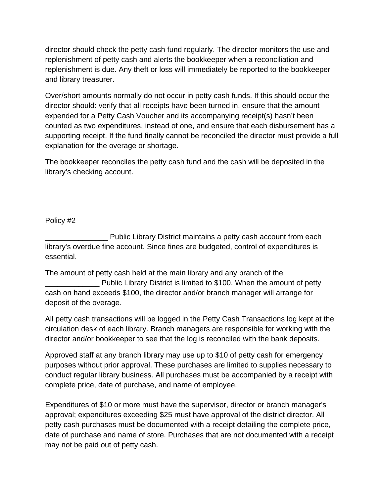director should check the petty cash fund regularly. The director monitors the use and replenishment of petty cash and alerts the bookkeeper when a reconciliation and replenishment is due. Any theft or loss will immediately be reported to the bookkeeper and library treasurer.

Over/short amounts normally do not occur in petty cash funds. If this should occur the director should: verify that all receipts have been turned in, ensure that the amount expended for a Petty Cash Voucher and its accompanying receipt(s) hasn't been counted as two expenditures, instead of one, and ensure that each disbursement has a supporting receipt. If the fund finally cannot be reconciled the director must provide a full explanation for the overage or shortage.

The bookkeeper reconciles the petty cash fund and the cash will be deposited in the library's checking account.

Policy #2

\_\_\_\_\_\_\_\_\_\_\_\_\_\_\_ Public Library District maintains a petty cash account from each library's overdue fine account. Since fines are budgeted, control of expenditures is essential.

The amount of petty cash held at the main library and any branch of the \_\_\_\_\_\_\_\_\_\_\_\_\_ Public Library District is limited to \$100. When the amount of petty cash on hand exceeds \$100, the director and/or branch manager will arrange for deposit of the overage.

All petty cash transactions will be logged in the Petty Cash Transactions log kept at the circulation desk of each library. Branch managers are responsible for working with the director and/or bookkeeper to see that the log is reconciled with the bank deposits.

Approved staff at any branch library may use up to \$10 of petty cash for emergency purposes without prior approval. These purchases are limited to supplies necessary to conduct regular library business. All purchases must be accompanied by a receipt with complete price, date of purchase, and name of employee.

Expenditures of \$10 or more must have the supervisor, director or branch manager's approval; expenditures exceeding \$25 must have approval of the district director. All petty cash purchases must be documented with a receipt detailing the complete price, date of purchase and name of store. Purchases that are not documented with a receipt may not be paid out of petty cash.